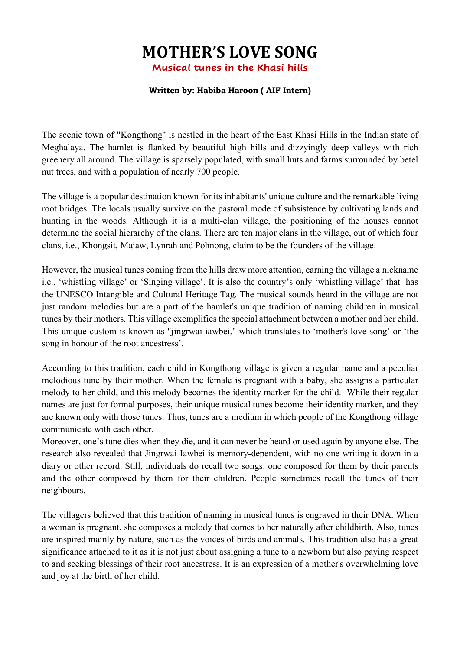## **MOTHER'S LOVE SONG**

**Musical tunes in the Khasi hills**

## **Written by: Habiba Haroon ( AIF Intern)**

The scenic town of "Kongthong" is nestled in the heart of the East Khasi Hills in the Indian state of Meghalaya. The hamlet is flanked by beautiful high hills and dizzyingly deep valleys with rich greenery all around. The village is sparsely populated, with small huts and farms surrounded by betel nut trees, and with a population of nearly 700 people.

The village is a popular destination known for its inhabitants' unique culture and the remarkable living root bridges. The locals usually survive on the pastoral mode of subsistence by cultivating lands and hunting in the woods. Although it is a multi-clan village, the positioning of the houses cannot determine the social hierarchy of the clans. There are ten major clans in the village, out of which four clans, i.e., Khongsit, Majaw, Lynrah and Pohnong, claim to be the founders of the village.

However, the musical tunes coming from the hills draw more attention, earning the village a nickname i.e., 'whistling village' or 'Singing village'. It is also the country's only 'whistling village' that has the UNESCO Intangible and Cultural Heritage Tag. The musical sounds heard in the village are not just random melodies but are a part of the hamlet's unique tradition of naming children in musical tunes by their mothers. This village exemplifies the special attachment between a mother and her child. This unique custom is known as "jingrwai iawbei," which translates to 'mother's love song' or 'the song in honour of the root ancestress'.

According to this tradition, each child in Kongthong village is given a regular name and a peculiar melodious tune by their mother. When the female is pregnant with a baby, she assigns a particular melody to her child, and this melody becomes the identity marker for the child. While their regular names are just for formal purposes, their unique musical tunes become their identity marker, and they are known only with those tunes. Thus, tunes are a medium in which people of the Kongthong village communicate with each other.

Moreover, one's tune dies when they die, and it can never be heard or used again by anyone else. The research also revealed that Jingrwai Iawbei is memory-dependent, with no one writing it down in a diary or other record. Still, individuals do recall two songs: one composed for them by their parents and the other composed by them for their children. People sometimes recall the tunes of their neighbours.

The villagers believed that this tradition of naming in musical tunes is engraved in their DNA. When a woman is pregnant, she composes a melody that comes to her naturally after childbirth. Also, tunes are inspired mainly by nature, such as the voices of birds and animals. This tradition also has a great significance attached to it as it is not just about assigning a tune to a newborn but also paying respect to and seeking blessings of their root ancestress. It is an expression of a mother's overwhelming love and joy at the birth of her child.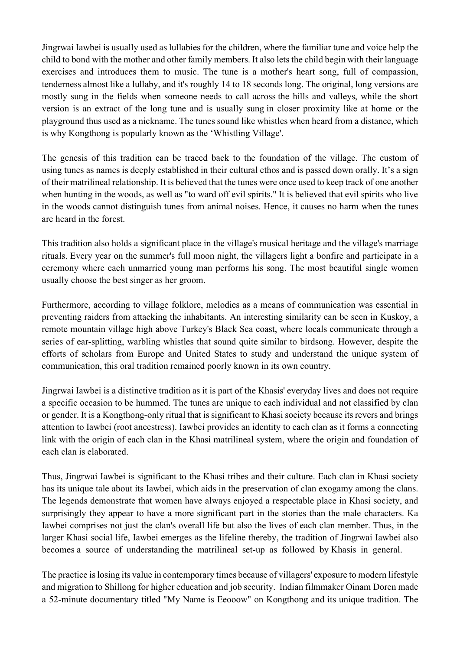Jingrwai Iawbei is usually used as lullabies for the children, where the familiar tune and voice help the child to bond with the mother and other family members. It also lets the child begin with their language exercises and introduces them to music. The tune is a mother's heart song, full of compassion, tenderness almost like a lullaby, and it's roughly 14 to 18 seconds long. The original, long versions are mostly sung in the fields when someone needs to call across the hills and valleys, while the short version is an extract of the long tune and is usually sung in closer proximity like at home or the playground thus used as a nickname. The tunes sound like whistles when heard from a distance, which is why Kongthong is popularly known as the 'Whistling Village'.

The genesis of this tradition can be traced back to the foundation of the village. The custom of using tunes as names is deeply established in their cultural ethos and is passed down orally. It's a sign of their matrilineal relationship. It is believed that the tunes were once used to keep track of one another when hunting in the woods, as well as "to ward off evil spirits." It is believed that evil spirits who live in the woods cannot distinguish tunes from animal noises. Hence, it causes no harm when the tunes are heard in the forest.

This tradition also holds a significant place in the village's musical heritage and the village's marriage rituals. Every year on the summer's full moon night, the villagers light a bonfire and participate in a ceremony where each unmarried young man performs his song. The most beautiful single women usually choose the best singer as her groom.

Furthermore, according to village folklore, melodies as a means of communication was essential in preventing raiders from attacking the inhabitants. An interesting similarity can be seen in Kuskoy, a remote mountain village high above Turkey's Black Sea coast, where locals communicate through a series of ear-splitting, warbling whistles that sound quite similar to birdsong. However, despite the efforts of scholars from Europe and United States to study and understand the unique system of communication, this oral tradition remained poorly known in its own country.

Jingrwai Iawbei is a distinctive tradition as it is part of the Khasis' everyday lives and does not require a specific occasion to be hummed. The tunes are unique to each individual and not classified by clan or gender. It is a Kongthong-only ritual that is significant to Khasi society because its revers and brings attention to Iawbei (root ancestress). Iawbei provides an identity to each clan as it forms a connecting link with the origin of each clan in the Khasi matrilineal system, where the origin and foundation of each clan is elaborated.

Thus, Jingrwai Iawbei is significant to the Khasi tribes and their culture. Each clan in Khasi society has its unique tale about its Iawbei, which aids in the preservation of clan exogamy among the clans. The legends demonstrate that women have always enjoyed a respectable place in Khasi society, and surprisingly they appear to have a more significant part in the stories than the male characters. Ka Iawbei comprises not just the clan's overall life but also the lives of each clan member. Thus, in the larger Khasi social life, Iawbei emerges as the lifeline thereby, the tradition of Jingrwai Iawbei also becomes a source of understanding the matrilineal set-up as followed by Khasis in general.

The practice is losing its value in contemporary times because of villagers' exposure to modern lifestyle and migration to Shillong for higher education and job security. Indian filmmaker Oinam Doren made a 52-minute documentary titled "My Name is Eeooow" on Kongthong and its unique tradition. The